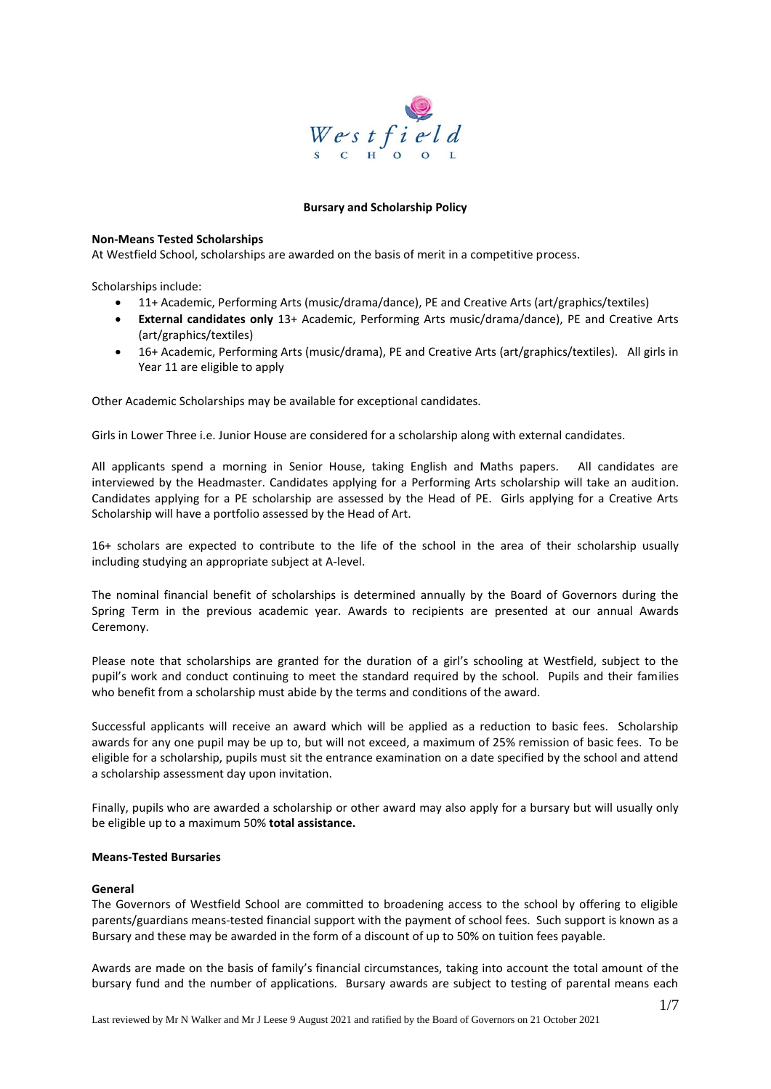

### **Bursary and Scholarship Policy**

### **Non-Means Tested Scholarships**

At Westfield School, scholarships are awarded on the basis of merit in a competitive process.

Scholarships include:

- 11+ Academic, Performing Arts (music/drama/dance), PE and Creative Arts (art/graphics/textiles)
- **External candidates only** 13+ Academic, Performing Arts music/drama/dance), PE and Creative Arts (art/graphics/textiles)
- 16+ Academic, Performing Arts (music/drama), PE and Creative Arts (art/graphics/textiles). All girls in Year 11 are eligible to apply

Other Academic Scholarships may be available for exceptional candidates.

Girls in Lower Three i.e. Junior House are considered for a scholarship along with external candidates.

All applicants spend a morning in Senior House, taking English and Maths papers. All candidates are interviewed by the Headmaster. Candidates applying for a Performing Arts scholarship will take an audition. Candidates applying for a PE scholarship are assessed by the Head of PE. Girls applying for a Creative Arts Scholarship will have a portfolio assessed by the Head of Art.

16+ scholars are expected to contribute to the life of the school in the area of their scholarship usually including studying an appropriate subject at A-level.

The nominal financial benefit of scholarships is determined annually by the Board of Governors during the Spring Term in the previous academic year. Awards to recipients are presented at our annual Awards Ceremony.

Please note that scholarships are granted for the duration of a girl's schooling at Westfield, subject to the pupil's work and conduct continuing to meet the standard required by the school. Pupils and their families who benefit from a scholarship must abide by the terms and conditions of the award.

Successful applicants will receive an award which will be applied as a reduction to basic fees. Scholarship awards for any one pupil may be up to, but will not exceed, a maximum of 25% remission of basic fees. To be eligible for a scholarship, pupils must sit the entrance examination on a date specified by the school and attend a scholarship assessment day upon invitation.

Finally, pupils who are awarded a scholarship or other award may also apply for a bursary but will usually only be eligible up to a maximum 50% **total assistance.**

### **Means-Tested Bursaries**

### **General**

The Governors of Westfield School are committed to broadening access to the school by offering to eligible parents/guardians means-tested financial support with the payment of school fees. Such support is known as a Bursary and these may be awarded in the form of a discount of up to 50% on tuition fees payable.

Awards are made on the basis of family's financial circumstances, taking into account the total amount of the bursary fund and the number of applications. Bursary awards are subject to testing of parental means each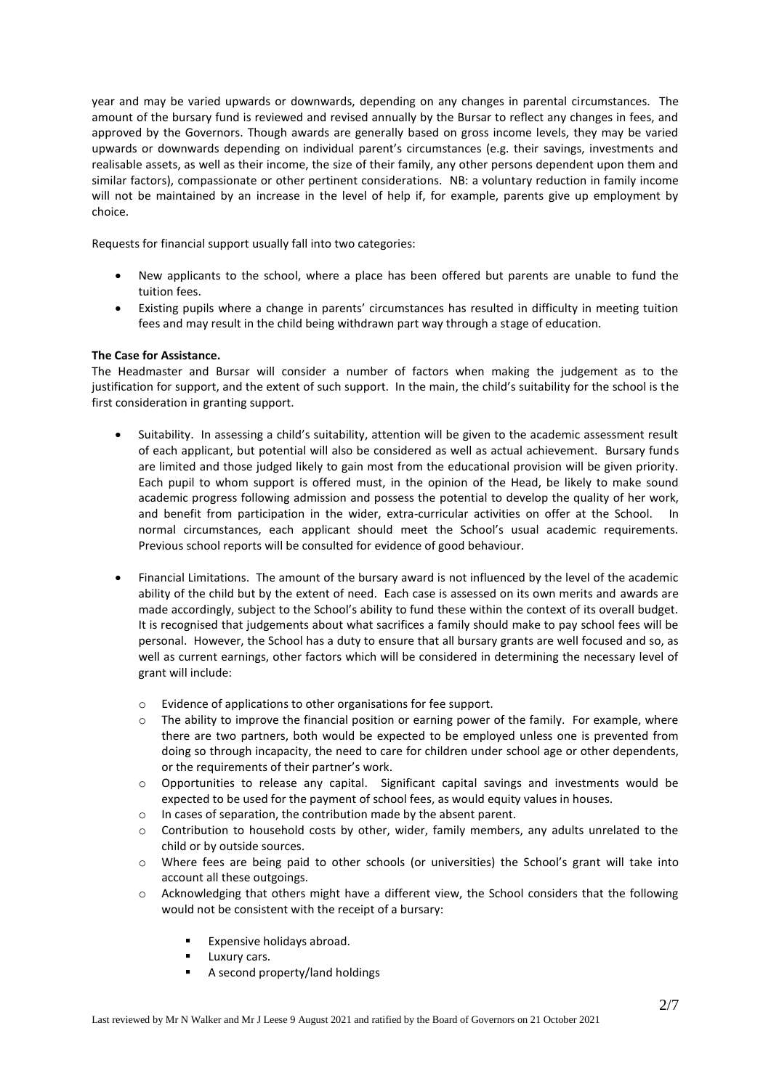year and may be varied upwards or downwards, depending on any changes in parental circumstances. The amount of the bursary fund is reviewed and revised annually by the Bursar to reflect any changes in fees, and approved by the Governors. Though awards are generally based on gross income levels, they may be varied upwards or downwards depending on individual parent's circumstances (e.g. their savings, investments and realisable assets, as well as their income, the size of their family, any other persons dependent upon them and similar factors), compassionate or other pertinent considerations. NB: a voluntary reduction in family income will not be maintained by an increase in the level of help if, for example, parents give up employment by choice.

Requests for financial support usually fall into two categories:

- New applicants to the school, where a place has been offered but parents are unable to fund the tuition fees.
- Existing pupils where a change in parents' circumstances has resulted in difficulty in meeting tuition fees and may result in the child being withdrawn part way through a stage of education.

### **The Case for Assistance.**

The Headmaster and Bursar will consider a number of factors when making the judgement as to the justification for support, and the extent of such support. In the main, the child's suitability for the school is the first consideration in granting support.

- Suitability. In assessing a child's suitability, attention will be given to the academic assessment result of each applicant, but potential will also be considered as well as actual achievement. Bursary funds are limited and those judged likely to gain most from the educational provision will be given priority. Each pupil to whom support is offered must, in the opinion of the Head, be likely to make sound academic progress following admission and possess the potential to develop the quality of her work, and benefit from participation in the wider, extra-curricular activities on offer at the School. In normal circumstances, each applicant should meet the School's usual academic requirements. Previous school reports will be consulted for evidence of good behaviour.
- Financial Limitations. The amount of the bursary award is not influenced by the level of the academic ability of the child but by the extent of need. Each case is assessed on its own merits and awards are made accordingly, subject to the School's ability to fund these within the context of its overall budget. It is recognised that judgements about what sacrifices a family should make to pay school fees will be personal. However, the School has a duty to ensure that all bursary grants are well focused and so, as well as current earnings, other factors which will be considered in determining the necessary level of grant will include:
	- o Evidence of applications to other organisations for fee support.
	- o The ability to improve the financial position or earning power of the family. For example, where there are two partners, both would be expected to be employed unless one is prevented from doing so through incapacity, the need to care for children under school age or other dependents, or the requirements of their partner's work.
	- $\circ$  Opportunities to release any capital. Significant capital savings and investments would be expected to be used for the payment of school fees, as would equity values in houses.
	- o In cases of separation, the contribution made by the absent parent.
	- $\circ$  Contribution to household costs by other, wider, family members, any adults unrelated to the child or by outside sources.
	- o Where fees are being paid to other schools (or universities) the School's grant will take into account all these outgoings.
	- o Acknowledging that others might have a different view, the School considers that the following would not be consistent with the receipt of a bursary:
		- Expensive holidays abroad.
		- Luxury cars.
		- A second property/land holdings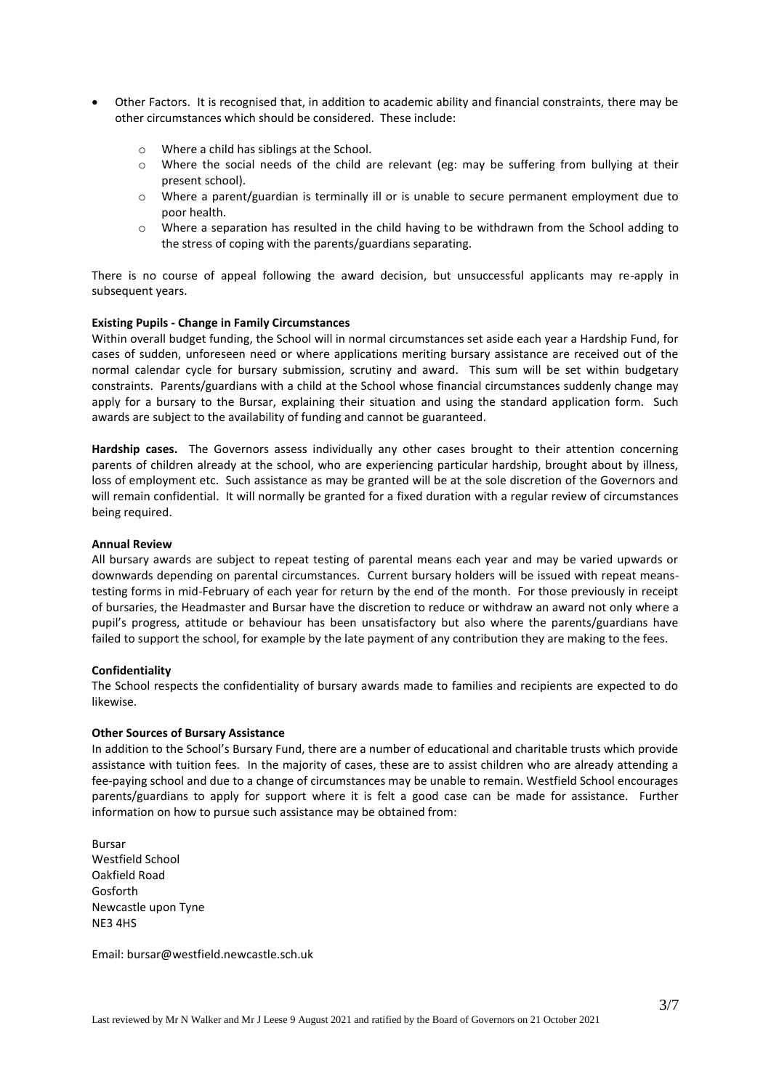- Other Factors. It is recognised that, in addition to academic ability and financial constraints, there may be other circumstances which should be considered. These include:
	- o Where a child has siblings at the School.
	- o Where the social needs of the child are relevant (eg: may be suffering from bullying at their present school).
	- $\circ$  Where a parent/guardian is terminally ill or is unable to secure permanent employment due to poor health.
	- $\circ$  Where a separation has resulted in the child having to be withdrawn from the School adding to the stress of coping with the parents/guardians separating.

There is no course of appeal following the award decision, but unsuccessful applicants may re-apply in subsequent years.

#### **Existing Pupils - Change in Family Circumstances**

Within overall budget funding, the School will in normal circumstances set aside each year a Hardship Fund, for cases of sudden, unforeseen need or where applications meriting bursary assistance are received out of the normal calendar cycle for bursary submission, scrutiny and award. This sum will be set within budgetary constraints. Parents/guardians with a child at the School whose financial circumstances suddenly change may apply for a bursary to the Bursar, explaining their situation and using the standard application form. Such awards are subject to the availability of funding and cannot be guaranteed.

**Hardship cases.** The Governors assess individually any other cases brought to their attention concerning parents of children already at the school, who are experiencing particular hardship, brought about by illness, loss of employment etc. Such assistance as may be granted will be at the sole discretion of the Governors and will remain confidential. It will normally be granted for a fixed duration with a regular review of circumstances being required.

#### **Annual Review**

All bursary awards are subject to repeat testing of parental means each year and may be varied upwards or downwards depending on parental circumstances. Current bursary holders will be issued with repeat meanstesting forms in mid-February of each year for return by the end of the month. For those previously in receipt of bursaries, the Headmaster and Bursar have the discretion to reduce or withdraw an award not only where a pupil's progress, attitude or behaviour has been unsatisfactory but also where the parents/guardians have failed to support the school, for example by the late payment of any contribution they are making to the fees.

### **Confidentiality**

The School respects the confidentiality of bursary awards made to families and recipients are expected to do likewise.

#### **Other Sources of Bursary Assistance**

In addition to the School's Bursary Fund, there are a number of educational and charitable trusts which provide assistance with tuition fees. In the majority of cases, these are to assist children who are already attending a fee-paying school and due to a change of circumstances may be unable to remain. Westfield School encourages parents/guardians to apply for support where it is felt a good case can be made for assistance. Further information on how to pursue such assistance may be obtained from:

Bursar Westfield School Oakfield Road Gosforth Newcastle upon Tyne NE3 4HS

Email: bursar@westfield.newcastle.sch.uk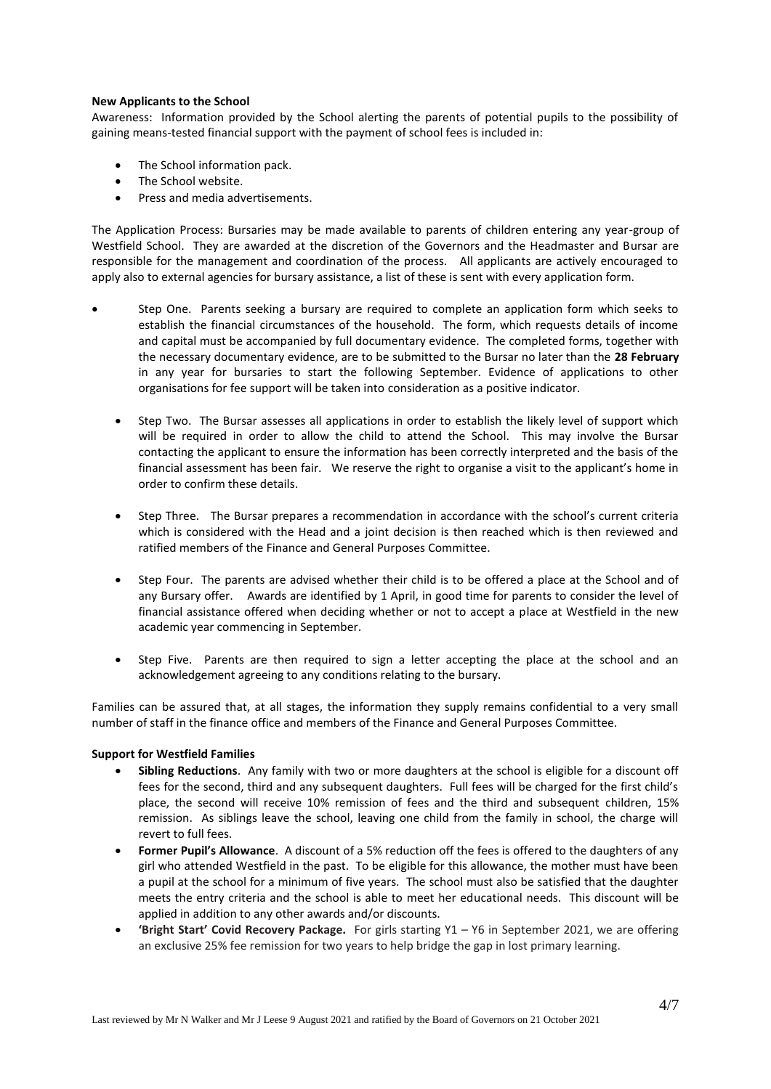## **New Applicants to the School**

Awareness: Information provided by the School alerting the parents of potential pupils to the possibility of gaining means-tested financial support with the payment of school fees is included in:

- The School information pack.
- The School website.
- Press and media advertisements.

The Application Process: Bursaries may be made available to parents of children entering any year-group of Westfield School.They are awarded at the discretion of the Governors and the Headmaster and Bursar are responsible for the management and coordination of the process. All applicants are actively encouraged to apply also to external agencies for bursary assistance, a list of these is sent with every application form.

- Step One. Parents seeking a bursary are required to complete an application form which seeks to establish the financial circumstances of the household. The form, which requests details of income and capital must be accompanied by full documentary evidence. The completed forms, together with the necessary documentary evidence, are to be submitted to the Bursar no later than the **28 February** in any year for bursaries to start the following September. Evidence of applications to other organisations for fee support will be taken into consideration as a positive indicator.
	- Step Two. The Bursar assesses all applications in order to establish the likely level of support which will be required in order to allow the child to attend the School. This may involve the Bursar contacting the applicant to ensure the information has been correctly interpreted and the basis of the financial assessment has been fair. We reserve the right to organise a visit to the applicant's home in order to confirm these details.
	- Step Three. The Bursar prepares a recommendation in accordance with the school's current criteria which is considered with the Head and a joint decision is then reached which is then reviewed and ratified members of the Finance and General Purposes Committee.
	- Step Four. The parents are advised whether their child is to be offered a place at the School and of any Bursary offer. Awards are identified by 1 April, in good time for parents to consider the level of financial assistance offered when deciding whether or not to accept a place at Westfield in the new academic year commencing in September.
	- Step Five. Parents are then required to sign a letter accepting the place at the school and an acknowledgement agreeing to any conditions relating to the bursary.

Families can be assured that, at all stages, the information they supply remains confidential to a very small number of staff in the finance office and members of the Finance and General Purposes Committee.

# **Support for Westfield Families**

- **Sibling Reductions**. Any family with two or more daughters at the school is eligible for a discount off fees for the second, third and any subsequent daughters. Full fees will be charged for the first child's place, the second will receive 10% remission of fees and the third and subsequent children, 15% remission. As siblings leave the school, leaving one child from the family in school, the charge will revert to full fees.
- **Former Pupil's Allowance**. A discount of a 5% reduction off the fees is offered to the daughters of any girl who attended Westfield in the past. To be eligible for this allowance, the mother must have been a pupil at the school for a minimum of five years. The school must also be satisfied that the daughter meets the entry criteria and the school is able to meet her educational needs. This discount will be applied in addition to any other awards and/or discounts.
- **'Bright Start' Covid Recovery Package.** For girls starting Y1 Y6 in September 2021, we are offering an exclusive 25% fee remission for two years to help bridge the gap in lost primary learning.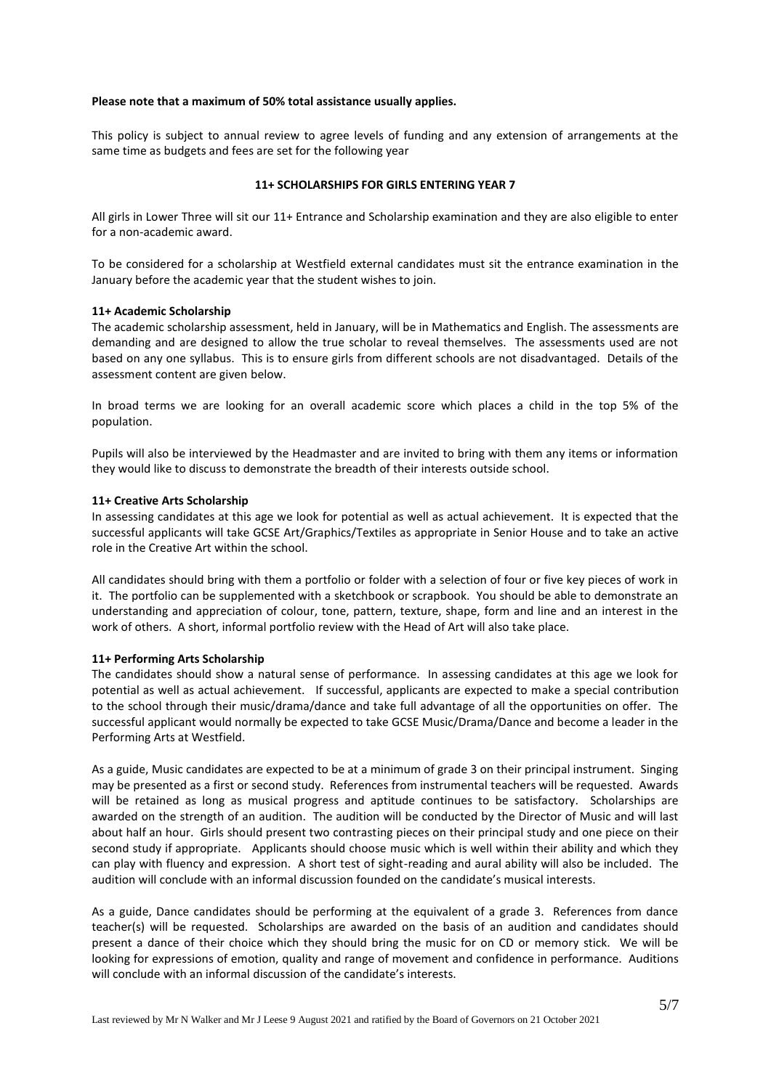### **Please note that a maximum of 50% total assistance usually applies.**

This policy is subject to annual review to agree levels of funding and any extension of arrangements at the same time as budgets and fees are set for the following year

## **11+ SCHOLARSHIPS FOR GIRLS ENTERING YEAR 7**

All girls in Lower Three will sit our 11+ Entrance and Scholarship examination and they are also eligible to enter for a non-academic award.

To be considered for a scholarship at Westfield external candidates must sit the entrance examination in the January before the academic year that the student wishes to join.

### **11+ Academic Scholarship**

The academic scholarship assessment, held in January, will be in Mathematics and English. The assessments are demanding and are designed to allow the true scholar to reveal themselves. The assessments used are not based on any one syllabus. This is to ensure girls from different schools are not disadvantaged. Details of the assessment content are given below.

In broad terms we are looking for an overall academic score which places a child in the top 5% of the population.

Pupils will also be interviewed by the Headmaster and are invited to bring with them any items or information they would like to discuss to demonstrate the breadth of their interests outside school.

### **11+ Creative Arts Scholarship**

In assessing candidates at this age we look for potential as well as actual achievement. It is expected that the successful applicants will take GCSE Art/Graphics/Textiles as appropriate in Senior House and to take an active role in the Creative Art within the school.

All candidates should bring with them a portfolio or folder with a selection of four or five key pieces of work in it. The portfolio can be supplemented with a sketchbook or scrapbook. You should be able to demonstrate an understanding and appreciation of colour, tone, pattern, texture, shape, form and line and an interest in the work of others. A short, informal portfolio review with the Head of Art will also take place.

# **11+ Performing Arts Scholarship**

The candidates should show a natural sense of performance. In assessing candidates at this age we look for potential as well as actual achievement. If successful, applicants are expected to make a special contribution to the school through their music/drama/dance and take full advantage of all the opportunities on offer. The successful applicant would normally be expected to take GCSE Music/Drama/Dance and become a leader in the Performing Arts at Westfield.

As a guide, Music candidates are expected to be at a minimum of grade 3 on their principal instrument. Singing may be presented as a first or second study. References from instrumental teachers will be requested. Awards will be retained as long as musical progress and aptitude continues to be satisfactory. Scholarships are awarded on the strength of an audition. The audition will be conducted by the Director of Music and will last about half an hour. Girls should present two contrasting pieces on their principal study and one piece on their second study if appropriate. Applicants should choose music which is well within their ability and which they can play with fluency and expression. A short test of sight-reading and aural ability will also be included. The audition will conclude with an informal discussion founded on the candidate's musical interests.

As a guide, Dance candidates should be performing at the equivalent of a grade 3. References from dance teacher(s) will be requested. Scholarships are awarded on the basis of an audition and candidates should present a dance of their choice which they should bring the music for on CD or memory stick. We will be looking for expressions of emotion, quality and range of movement and confidence in performance. Auditions will conclude with an informal discussion of the candidate's interests.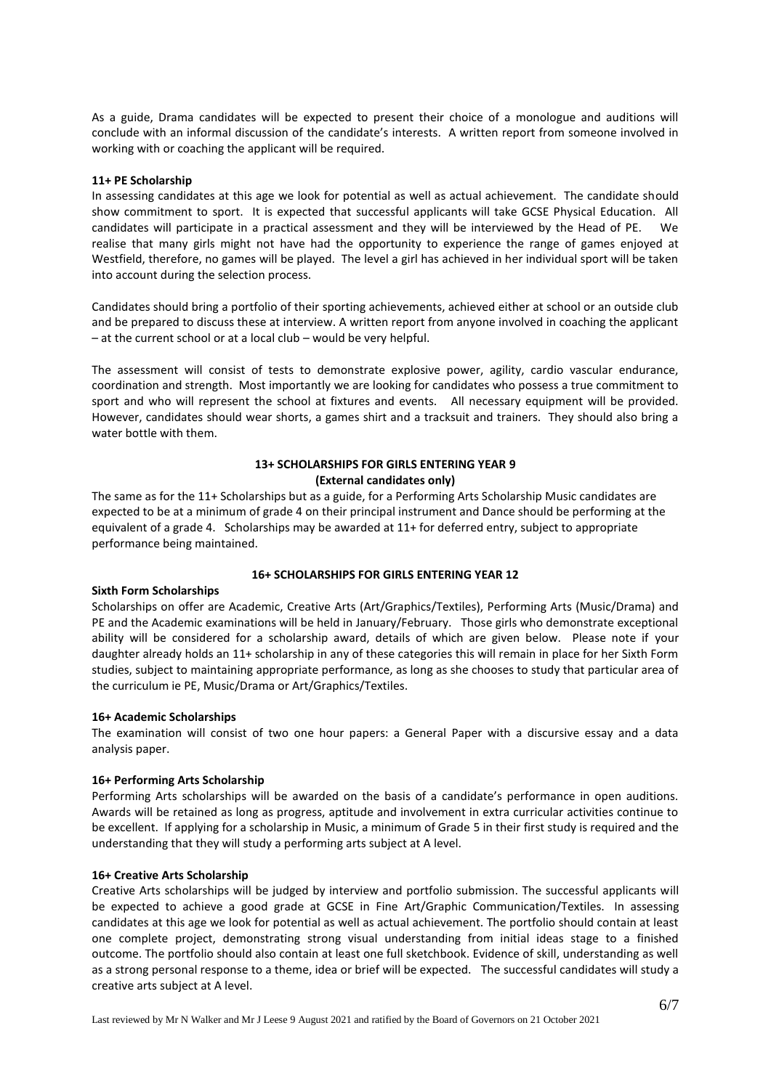As a guide, Drama candidates will be expected to present their choice of a monologue and auditions will conclude with an informal discussion of the candidate's interests. A written report from someone involved in working with or coaching the applicant will be required.

#### **11+ PE Scholarship**

In assessing candidates at this age we look for potential as well as actual achievement. The candidate should show commitment to sport. It is expected that successful applicants will take GCSE Physical Education. All candidates will participate in a practical assessment and they will be interviewed by the Head of PE. We realise that many girls might not have had the opportunity to experience the range of games enjoyed at Westfield, therefore, no games will be played. The level a girl has achieved in her individual sport will be taken into account during the selection process.

Candidates should bring a portfolio of their sporting achievements, achieved either at school or an outside club and be prepared to discuss these at interview. A written report from anyone involved in coaching the applicant – at the current school or at a local club – would be very helpful.

The assessment will consist of tests to demonstrate explosive power, agility, cardio vascular endurance, coordination and strength. Most importantly we are looking for candidates who possess a true commitment to sport and who will represent the school at fixtures and events. All necessary equipment will be provided. However, candidates should wear shorts, a games shirt and a tracksuit and trainers. They should also bring a water bottle with them.

# **13+ SCHOLARSHIPS FOR GIRLS ENTERING YEAR 9 (External candidates only)**

The same as for the 11+ Scholarships but as a guide, for a Performing Arts Scholarship Music candidates are expected to be at a minimum of grade 4 on their principal instrument and Dance should be performing at the equivalent of a grade 4. Scholarships may be awarded at 11+ for deferred entry, subject to appropriate performance being maintained.

### **16+ SCHOLARSHIPS FOR GIRLS ENTERING YEAR 12**

## **Sixth Form Scholarships**

Scholarships on offer are Academic, Creative Arts (Art/Graphics/Textiles), Performing Arts (Music/Drama) and PE and the Academic examinations will be held in January/February. Those girls who demonstrate exceptional ability will be considered for a scholarship award, details of which are given below. Please note if your daughter already holds an 11+ scholarship in any of these categories this will remain in place for her Sixth Form studies, subject to maintaining appropriate performance, as long as she chooses to study that particular area of the curriculum ie PE, Music/Drama or Art/Graphics/Textiles.

### **16+ Academic Scholarships**

The examination will consist of two one hour papers: a General Paper with a discursive essay and a data analysis paper.

### **16+ Performing Arts Scholarship**

Performing Arts scholarships will be awarded on the basis of a candidate's performance in open auditions. Awards will be retained as long as progress, aptitude and involvement in extra curricular activities continue to be excellent. If applying for a scholarship in Music, a minimum of Grade 5 in their first study is required and the understanding that they will study a performing arts subject at A level.

### **16+ Creative Arts Scholarship**

Creative Arts scholarships will be judged by interview and portfolio submission. The successful applicants will be expected to achieve a good grade at GCSE in Fine Art/Graphic Communication/Textiles. In assessing candidates at this age we look for potential as well as actual achievement. The portfolio should contain at least one complete project, demonstrating strong visual understanding from initial ideas stage to a finished outcome. The portfolio should also contain at least one full sketchbook. Evidence of skill, understanding as well as a strong personal response to a theme, idea or brief will be expected. The successful candidates will study a creative arts subject at A level.